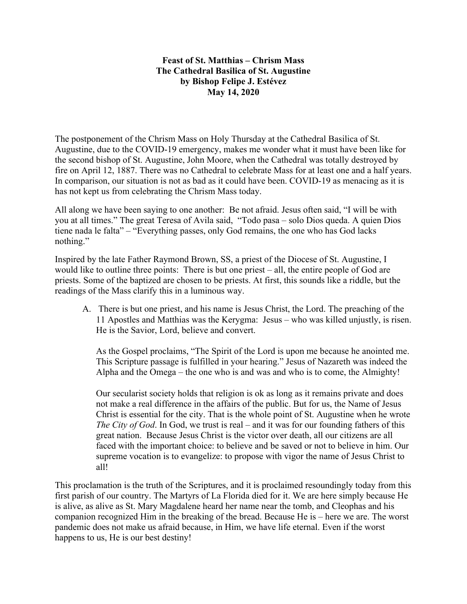## **Feast of St. Matthias – Chrism Mass The Cathedral Basilica of St. Augustine by Bishop Felipe J. Estévez May 14, 2020**

The postponement of the Chrism Mass on Holy Thursday at the Cathedral Basilica of St. Augustine, due to the COVID-19 emergency, makes me wonder what it must have been like for the second bishop of St. Augustine, John Moore, when the Cathedral was totally destroyed by fire on April 12, 1887. There was no Cathedral to celebrate Mass for at least one and a half years. In comparison, our situation is not as bad as it could have been. COVID-19 as menacing as it is has not kept us from celebrating the Chrism Mass today.

All along we have been saying to one another: Be not afraid. Jesus often said, "I will be with you at all times." The great Teresa of Avila said, "Todo pasa – solo Dios queda. A quien Dios tiene nada le falta" – "Everything passes, only God remains, the one who has God lacks nothing."

Inspired by the late Father Raymond Brown, SS, a priest of the Diocese of St. Augustine, I would like to outline three points: There is but one priest – all, the entire people of God are priests. Some of the baptized are chosen to be priests. At first, this sounds like a riddle, but the readings of the Mass clarify this in a luminous way.

A. There is but one priest, and his name is Jesus Christ, the Lord. The preaching of the 11 Apostles and Matthias was the Kerygma: Jesus – who was killed unjustly, is risen. He is the Savior, Lord, believe and convert.

As the Gospel proclaims, "The Spirit of the Lord is upon me because he anointed me. This Scripture passage is fulfilled in your hearing." Jesus of Nazareth was indeed the Alpha and the Omega – the one who is and was and who is to come, the Almighty!

Our secularist society holds that religion is ok as long as it remains private and does not make a real difference in the affairs of the public. But for us, the Name of Jesus Christ is essential for the city. That is the whole point of St. Augustine when he wrote *The City of God*. In God, we trust is real – and it was for our founding fathers of this great nation. Because Jesus Christ is the victor over death, all our citizens are all faced with the important choice: to believe and be saved or not to believe in him. Our supreme vocation is to evangelize: to propose with vigor the name of Jesus Christ to all!

This proclamation is the truth of the Scriptures, and it is proclaimed resoundingly today from this first parish of our country. The Martyrs of La Florida died for it. We are here simply because He is alive, as alive as St. Mary Magdalene heard her name near the tomb, and Cleophas and his companion recognized Him in the breaking of the bread. Because He is – here we are. The worst pandemic does not make us afraid because, in Him, we have life eternal. Even if the worst happens to us, He is our best destiny!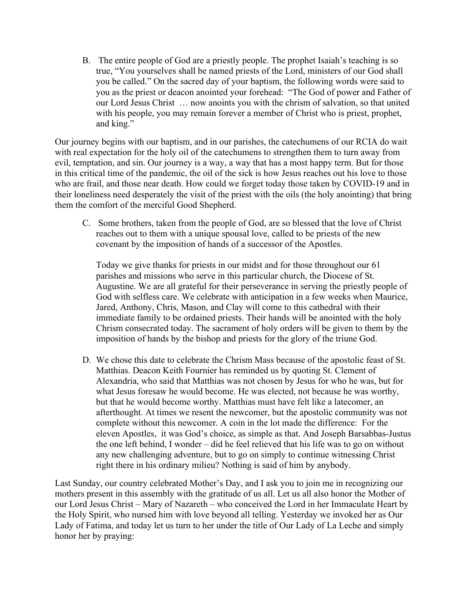B. The entire people of God are a priestly people. The prophet Isaiah's teaching is so true, "You yourselves shall be named priests of the Lord, ministers of our God shall you be called." On the sacred day of your baptism, the following words were said to you as the priest or deacon anointed your forehead: "The God of power and Father of our Lord Jesus Christ … now anoints you with the chrism of salvation, so that united with his people, you may remain forever a member of Christ who is priest, prophet, and king."

Our journey begins with our baptism, and in our parishes, the catechumens of our RCIA do wait with real expectation for the holy oil of the catechumens to strengthen them to turn away from evil, temptation, and sin. Our journey is a way, a way that has a most happy term. But for those in this critical time of the pandemic, the oil of the sick is how Jesus reaches out his love to those who are frail, and those near death. How could we forget today those taken by COVID-19 and in their loneliness need desperately the visit of the priest with the oils (the holy anointing) that bring them the comfort of the merciful Good Shepherd.

C. Some brothers, taken from the people of God, are so blessed that the love of Christ reaches out to them with a unique spousal love, called to be priests of the new covenant by the imposition of hands of a successor of the Apostles.

Today we give thanks for priests in our midst and for those throughout our 61 parishes and missions who serve in this particular church, the Diocese of St. Augustine. We are all grateful for their perseverance in serving the priestly people of God with selfless care. We celebrate with anticipation in a few weeks when Maurice, Jared, Anthony, Chris, Mason, and Clay will come to this cathedral with their immediate family to be ordained priests. Their hands will be anointed with the holy Chrism consecrated today. The sacrament of holy orders will be given to them by the imposition of hands by the bishop and priests for the glory of the triune God.

D. We chose this date to celebrate the Chrism Mass because of the apostolic feast of St. Matthias. Deacon Keith Fournier has reminded us by quoting St. Clement of Alexandria, who said that Matthias was not chosen by Jesus for who he was, but for what Jesus foresaw he would become. He was elected, not because he was worthy, but that he would become worthy. Matthias must have felt like a latecomer, an afterthought. At times we resent the newcomer, but the apostolic community was not complete without this newcomer. A coin in the lot made the difference: For the eleven Apostles, it was God's choice, as simple as that. And Joseph Barsabbas-Justus the one left behind, I wonder – did he feel relieved that his life was to go on without any new challenging adventure, but to go on simply to continue witnessing Christ right there in his ordinary milieu? Nothing is said of him by anybody.

Last Sunday, our country celebrated Mother's Day, and I ask you to join me in recognizing our mothers present in this assembly with the gratitude of us all. Let us all also honor the Mother of our Lord Jesus Christ – Mary of Nazareth – who conceived the Lord in her Immaculate Heart by the Holy Spirit, who nursed him with love beyond all telling. Yesterday we invoked her as Our Lady of Fatima, and today let us turn to her under the title of Our Lady of La Leche and simply honor her by praying: